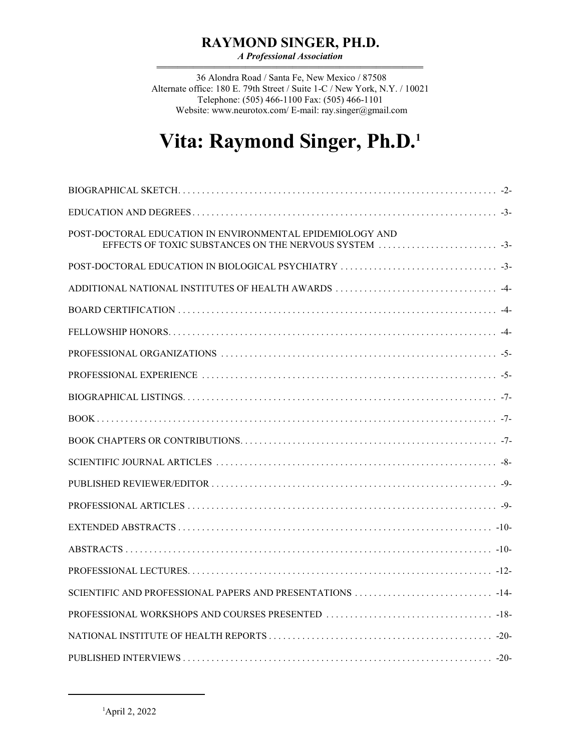# **RAYMOND SINGER, PH.D.**

*A Professional Association* 444444444444444444444444444444444444444444444444444

 36 Alondra Road / Santa Fe, New Mexico / 87508 Alternate office: 180 E. 79th Street / Suite 1-C / New York, N.Y. / 10021 Telephone: (505) 466-1100 Fax: (505) 466-1101 Website: www.neurotox.com/ E-mail: ray.singer@gmail.com

# **Vita: Raymond Singer, Ph.D. 1**

| POST-DOCTORAL EDUCATION IN ENVIRONMENTAL EPIDEMIOLOGY AND<br>EFFECTS OF TOXIC SUBSTANCES ON THE NERVOUS SYSTEM |
|----------------------------------------------------------------------------------------------------------------|
|                                                                                                                |
|                                                                                                                |
|                                                                                                                |
|                                                                                                                |
|                                                                                                                |
|                                                                                                                |
|                                                                                                                |
|                                                                                                                |
|                                                                                                                |
|                                                                                                                |
|                                                                                                                |
|                                                                                                                |
|                                                                                                                |
|                                                                                                                |
|                                                                                                                |
|                                                                                                                |
|                                                                                                                |
|                                                                                                                |
|                                                                                                                |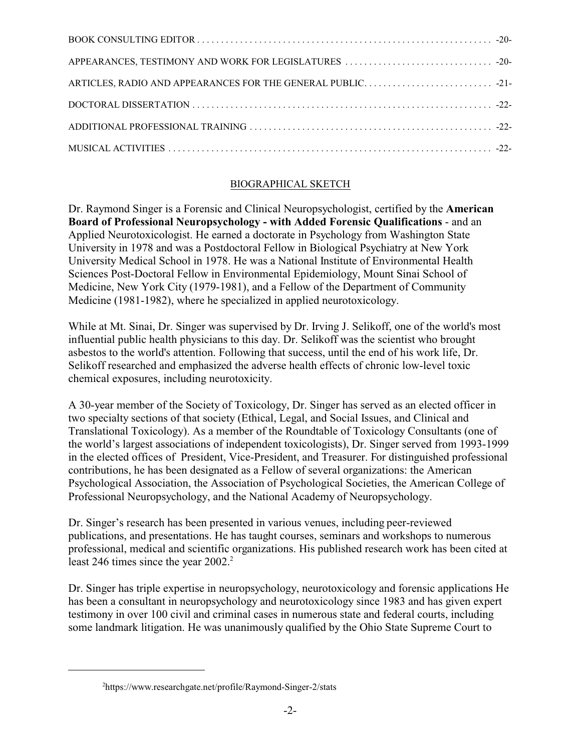### BIOGRAPHICAL SKETCH

Dr. Raymond Singer is a Forensic and Clinical Neuropsychologist, certified by the **American Board of Professional Neuropsychology - with Added Forensic Qualifications** - and an Applied Neurotoxicologist. He earned a doctorate in Psychology from Washington State University in 1978 and was a Postdoctoral Fellow in Biological Psychiatry at New York University Medical School in 1978. He was a National Institute of Environmental Health Sciences Post-Doctoral Fellow in Environmental Epidemiology, Mount Sinai School of Medicine, New York City (1979-1981), and a Fellow of the Department of Community Medicine (1981-1982), where he specialized in applied neurotoxicology.

While at Mt. Sinai, Dr. Singer was supervised by Dr. Irving J. Selikoff, one of the world's most influential public health physicians to this day. Dr. Selikoff was the scientist who brought asbestos to the world's attention. Following that success, until the end of his work life, Dr. Selikoff researched and emphasized the adverse health effects of chronic low-level toxic chemical exposures, including neurotoxicity.

A 30-year member of the Society of Toxicology, Dr. Singer has served as an elected officer in two specialty sections of that society (Ethical, Legal, and Social Issues, and Clinical and Translational Toxicology). As a member of the Roundtable of Toxicology Consultants (one of the world's largest associations of independent toxicologists), Dr. Singer served from 1993-1999 in the elected offices of President, Vice-President, and Treasurer. For distinguished professional contributions, he has been designated as a Fellow of several organizations: the American Psychological Association, the Association of Psychological Societies, the American College of Professional Neuropsychology, and the National Academy of Neuropsychology.

Dr. Singer's research has been presented in various venues, including peer-reviewed publications, and presentations. He has taught courses, seminars and workshops to numerous professional, medical and scientific organizations. His published research work has been cited at least 246 times since the year  $2002<sup>2</sup>$ 

Dr. Singer has triple expertise in neuropsychology, neurotoxicology and forensic applications He has been a consultant in neuropsychology and neurotoxicology since 1983 and has given expert testimony in over 100 civil and criminal cases in numerous state and federal courts, including some landmark litigation. He was unanimously qualified by the Ohio State Supreme Court to

<sup>2</sup> https://www.researchgate.net/profile/Raymond-Singer-2/stats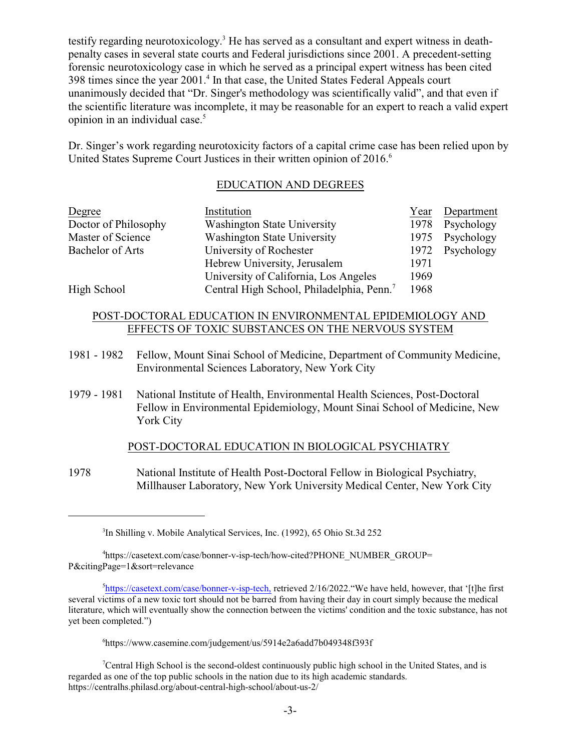testify regarding neurotoxicology.<sup>3</sup> He has served as a consultant and expert witness in deathpenalty cases in several state courts and Federal jurisdictions since 2001. A precedent-setting forensic neurotoxicology case in which he served as a principal expert witness has been cited 398 times since the year 2001.<sup>4</sup> In that case, the United States Federal Appeals court unanimously decided that "Dr. Singer's methodology was scientifically valid", and that even if the scientific literature was incomplete, it may be reasonable for an expert to reach a valid expert opinion in an individual case.<sup>5</sup>

Dr. Singer's work regarding neurotoxicity factors of a capital crime case has been relied upon by United States Supreme Court Justices in their written opinion of 2016.<sup>6</sup>

#### EDUCATION AND DEGREES

| Degree                  | Institution                                           | Year | Department |
|-------------------------|-------------------------------------------------------|------|------------|
| Doctor of Philosophy    | <b>Washington State University</b>                    | 1978 | Psychology |
| Master of Science       | <b>Washington State University</b>                    | 1975 | Psychology |
| <b>Bachelor of Arts</b> | University of Rochester                               | 1972 | Psychology |
|                         | Hebrew University, Jerusalem                          | 1971 |            |
|                         | University of California, Los Angeles                 | 1969 |            |
| High School             | Central High School, Philadelphia, Penn. <sup>7</sup> | 1968 |            |

#### POST-DOCTORAL EDUCATION IN ENVIRONMENTAL EPIDEMIOLOGY AND EFFECTS OF TOXIC SUBSTANCES ON THE NERVOUS SYSTEM

- 1981 1982 Fellow, Mount Sinai School of Medicine, Department of Community Medicine, Environmental Sciences Laboratory, New York City
- 1979 1981 National Institute of Health, Environmental Health Sciences, Post-Doctoral Fellow in Environmental Epidemiology, Mount Sinai School of Medicine, New York City

#### POST-DOCTORAL EDUCATION IN BIOLOGICAL PSYCHIATRY

1978 National Institute of Health Post-Doctoral Fellow in Biological Psychiatry, Millhauser Laboratory, New York University Medical Center, New York City

<sup>3</sup> In Shilling v. Mobile Analytical Services, Inc. (1992), 65 Ohio St.3d 252

<sup>4</sup> https://casetext.com/case/bonner-v-isp-tech/how-cited?PHONE\_NUMBER\_GROUP= P&citingPage=1&sort=relevance

<sup>&</sup>lt;sup>5</sup><https://casetext.com/case/bonner-v-isp-tech,> retrieved 2/16/2022. "We have held, however, that '[t]he first several victims of a new toxic tort should not be barred from having their day in court simply because the medical literature, which will eventually show the connection between the victims' condition and the toxic substance, has not yet been completed.")

<sup>6</sup> https://www.casemine.com/judgement/us/5914e2a6add7b049348f393f

<sup>7</sup>Central High School is the second-oldest continuously public high school in the United States, and is regarded as one of the top public schools in the nation due to its high academic standards. https://centralhs.philasd.org/about-central-high-school/about-us-2/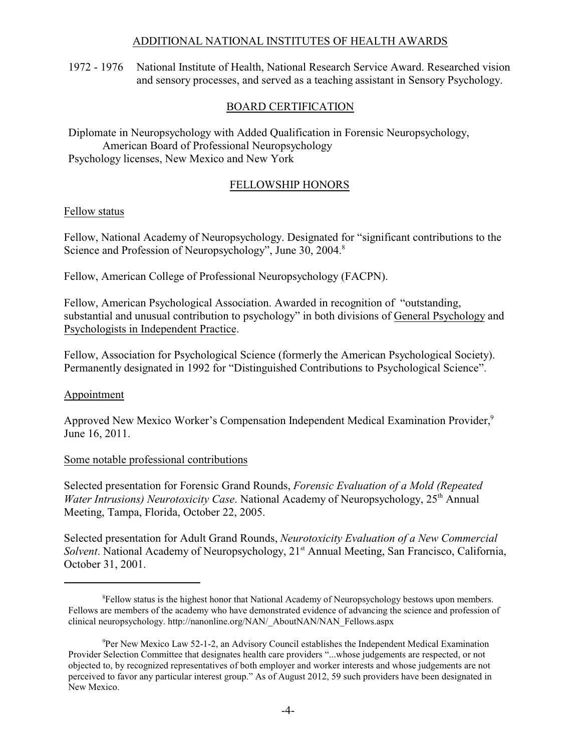#### ADDITIONAL NATIONAL INSTITUTES OF HEALTH AWARDS

1972 - 1976 National Institute of Health, National Research Service Award. Researched vision and sensory processes, and served as a teaching assistant in Sensory Psychology.

#### BOARD CERTIFICATION

Diplomate in Neuropsychology with Added Qualification in Forensic Neuropsychology, American Board of Professional Neuropsychology Psychology licenses, New Mexico and New York

#### FELLOWSHIP HONORS

#### Fellow status

Fellow, National Academy of Neuropsychology. Designated for "significant contributions to the Science and Profession of Neuropsychology", June 30, 2004.<sup>8</sup>

Fellow, American College of Professional Neuropsychology (FACPN).

Fellow, American Psychological Association. Awarded in recognition of "outstanding, substantial and unusual contribution to psychology" in both divisions of General Psychology and Psychologists in Independent Practice.

Fellow, Association for Psychological Science (formerly the American Psychological Society). Permanently designated in 1992 for "Distinguished Contributions to Psychological Science".

#### Appointment

Approved New Mexico Worker's Compensation Independent Medical Examination Provider,<sup>9</sup> June 16, 2011.

#### Some notable professional contributions

Selected presentation for Forensic Grand Rounds, *Forensic Evaluation of a Mold (Repeated Water Intrusions) Neurotoxicity Case.* National Academy of Neuropsychology, 25<sup>th</sup> Annual Meeting, Tampa, Florida, October 22, 2005.

Selected presentation for Adult Grand Rounds, *Neurotoxicity Evaluation of a New Commercial* Solvent. National Academy of Neuropsychology, 21<sup>st</sup> Annual Meeting, San Francisco, California, October 31, 2001.

<sup>&</sup>lt;sup>8</sup>Fellow status is the highest honor that National Academy of Neuropsychology bestows upon members. Fellows are members of the academy who have demonstrated evidence of advancing the science and profession of clinical neuropsychology. http://nanonline.org/NAN/\_AboutNAN/NAN\_Fellows.aspx

<sup>9</sup>Per New Mexico Law 52-1-2, an Advisory Council establishes the Independent Medical Examination Provider Selection Committee that designates health care providers "...whose judgements are respected, or not objected to, by recognized representatives of both employer and worker interests and whose judgements are not perceived to favor any particular interest group." As of August 2012, 59 such providers have been designated in New Mexico.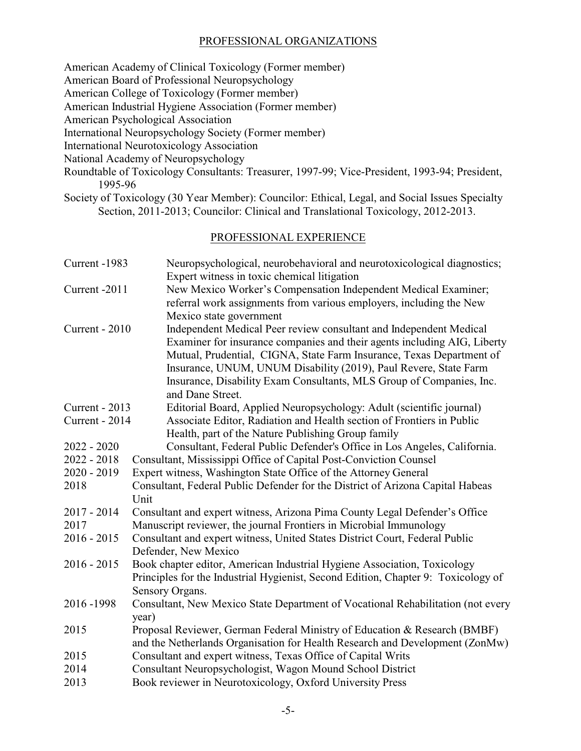#### PROFESSIONAL ORGANIZATIONS

American Academy of Clinical Toxicology (Former member)

American Board of Professional Neuropsychology

American College of Toxicology (Former member)

American Industrial Hygiene Association (Former member)

American Psychological Association

International Neuropsychology Society (Former member)

International Neurotoxicology Association

National Academy of Neuropsychology

- Roundtable of Toxicology Consultants: Treasurer, 1997-99; Vice-President, 1993-94; President, 1995-96
- Society of Toxicology (30 Year Member): Councilor: Ethical, Legal, and Social Issues Specialty Section, 2011-2013; Councilor: Clinical and Translational Toxicology, 2012-2013.

# PROFESSIONAL EXPERIENCE

| Current -1983  | Neuropsychological, neurobehavioral and neurotoxicological diagnostics;<br>Expert witness in toxic chemical litigation                                                                                                                                                                                                                                                                 |
|----------------|----------------------------------------------------------------------------------------------------------------------------------------------------------------------------------------------------------------------------------------------------------------------------------------------------------------------------------------------------------------------------------------|
| Current -2011  | New Mexico Worker's Compensation Independent Medical Examiner;<br>referral work assignments from various employers, including the New<br>Mexico state government                                                                                                                                                                                                                       |
| Current - 2010 | Independent Medical Peer review consultant and Independent Medical<br>Examiner for insurance companies and their agents including AIG, Liberty<br>Mutual, Prudential, CIGNA, State Farm Insurance, Texas Department of<br>Insurance, UNUM, UNUM Disability (2019), Paul Revere, State Farm<br>Insurance, Disability Exam Consultants, MLS Group of Companies, Inc.<br>and Dane Street. |
| Current - 2013 | Editorial Board, Applied Neuropsychology: Adult (scientific journal)                                                                                                                                                                                                                                                                                                                   |
| Current - 2014 | Associate Editor, Radiation and Health section of Frontiers in Public<br>Health, part of the Nature Publishing Group family                                                                                                                                                                                                                                                            |
| $2022 - 2020$  | Consultant, Federal Public Defender's Office in Los Angeles, California.                                                                                                                                                                                                                                                                                                               |
| $2022 - 2018$  | Consultant, Mississippi Office of Capital Post-Conviction Counsel                                                                                                                                                                                                                                                                                                                      |
| $2020 - 2019$  | Expert witness, Washington State Office of the Attorney General                                                                                                                                                                                                                                                                                                                        |
| 2018           | Consultant, Federal Public Defender for the District of Arizona Capital Habeas<br>Unit                                                                                                                                                                                                                                                                                                 |
| 2017 - 2014    | Consultant and expert witness, Arizona Pima County Legal Defender's Office                                                                                                                                                                                                                                                                                                             |
| 2017           | Manuscript reviewer, the journal Frontiers in Microbial Immunology                                                                                                                                                                                                                                                                                                                     |
| $2016 - 2015$  | Consultant and expert witness, United States District Court, Federal Public<br>Defender, New Mexico                                                                                                                                                                                                                                                                                    |
| $2016 - 2015$  | Book chapter editor, American Industrial Hygiene Association, Toxicology<br>Principles for the Industrial Hygienist, Second Edition, Chapter 9: Toxicology of<br>Sensory Organs.                                                                                                                                                                                                       |
| 2016-1998      | Consultant, New Mexico State Department of Vocational Rehabilitation (not every<br>year)                                                                                                                                                                                                                                                                                               |
| 2015           | Proposal Reviewer, German Federal Ministry of Education & Research (BMBF)<br>and the Netherlands Organisation for Health Research and Development (ZonMw)                                                                                                                                                                                                                              |
| 2015           | Consultant and expert witness, Texas Office of Capital Writs                                                                                                                                                                                                                                                                                                                           |
| 2014           | Consultant Neuropsychologist, Wagon Mound School District                                                                                                                                                                                                                                                                                                                              |
| 2013           | Book reviewer in Neurotoxicology, Oxford University Press                                                                                                                                                                                                                                                                                                                              |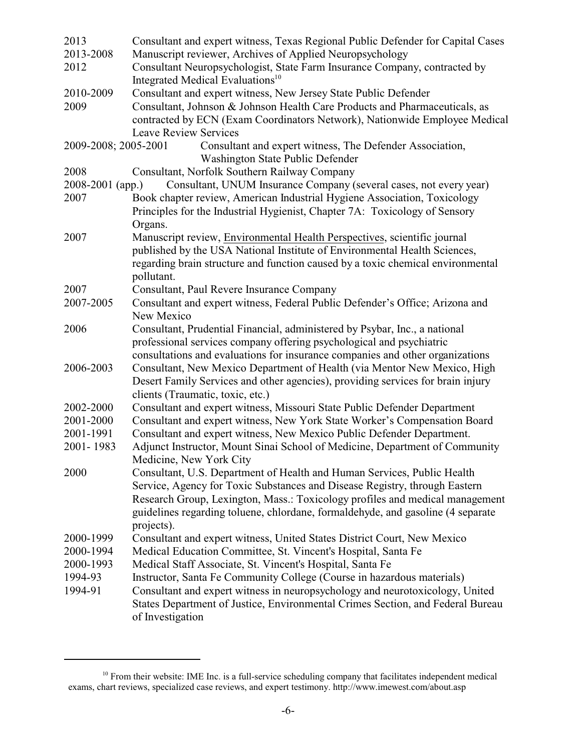| 2013                   | Consultant and expert witness, Texas Regional Public Defender for Capital Cases                                                                                |
|------------------------|----------------------------------------------------------------------------------------------------------------------------------------------------------------|
| 2013-2008              | Manuscript reviewer, Archives of Applied Neuropsychology                                                                                                       |
| 2012                   | Consultant Neuropsychologist, State Farm Insurance Company, contracted by                                                                                      |
|                        | Integrated Medical Evaluations <sup>10</sup>                                                                                                                   |
| 2010-2009              | Consultant and expert witness, New Jersey State Public Defender                                                                                                |
| 2009                   | Consultant, Johnson & Johnson Health Care Products and Pharmaceuticals, as                                                                                     |
|                        | contracted by ECN (Exam Coordinators Network), Nationwide Employee Medical                                                                                     |
|                        | <b>Leave Review Services</b>                                                                                                                                   |
| 2009-2008; 2005-2001   | Consultant and expert witness, The Defender Association,                                                                                                       |
|                        | Washington State Public Defender                                                                                                                               |
| 2008                   | Consultant, Norfolk Southern Railway Company                                                                                                                   |
| 2008-2001 (app.)       | Consultant, UNUM Insurance Company (several cases, not every year)                                                                                             |
| 2007                   | Book chapter review, American Industrial Hygiene Association, Toxicology                                                                                       |
|                        | Principles for the Industrial Hygienist, Chapter 7A: Toxicology of Sensory                                                                                     |
|                        | Organs.                                                                                                                                                        |
| 2007                   | Manuscript review, Environmental Health Perspectives, scientific journal                                                                                       |
|                        | published by the USA National Institute of Environmental Health Sciences,                                                                                      |
|                        | regarding brain structure and function caused by a toxic chemical environmental                                                                                |
|                        | pollutant.                                                                                                                                                     |
| 2007                   | Consultant, Paul Revere Insurance Company                                                                                                                      |
| 2007-2005              | Consultant and expert witness, Federal Public Defender's Office; Arizona and                                                                                   |
|                        | New Mexico                                                                                                                                                     |
| 2006                   | Consultant, Prudential Financial, administered by Psybar, Inc., a national                                                                                     |
|                        | professional services company offering psychological and psychiatric                                                                                           |
|                        | consultations and evaluations for insurance companies and other organizations                                                                                  |
| 2006-2003              | Consultant, New Mexico Department of Health (via Mentor New Mexico, High                                                                                       |
|                        | Desert Family Services and other agencies), providing services for brain injury                                                                                |
|                        | clients (Traumatic, toxic, etc.)                                                                                                                               |
| 2002-2000              | Consultant and expert witness, Missouri State Public Defender Department                                                                                       |
| 2001-2000              | Consultant and expert witness, New York State Worker's Compensation Board                                                                                      |
| 2001-1991              | Consultant and expert witness, New Mexico Public Defender Department.                                                                                          |
| 2001-1983              | Adjunct Instructor, Mount Sinai School of Medicine, Department of Community                                                                                    |
|                        | Medicine, New York City                                                                                                                                        |
| 2000                   | Consultant, U.S. Department of Health and Human Services, Public Health                                                                                        |
|                        | Service, Agency for Toxic Substances and Disease Registry, through Eastern                                                                                     |
|                        | Research Group, Lexington, Mass.: Toxicology profiles and medical management                                                                                   |
|                        | guidelines regarding toluene, chlordane, formaldehyde, and gasoline (4 separate                                                                                |
| 2000-1999              | projects).                                                                                                                                                     |
|                        | Consultant and expert witness, United States District Court, New Mexico<br>Medical Education Committee, St. Vincent's Hospital, Santa Fe                       |
| 2000-1994<br>2000-1993 |                                                                                                                                                                |
|                        | Medical Staff Associate, St. Vincent's Hospital, Santa Fe                                                                                                      |
| 1994-93<br>1994-91     | Instructor, Santa Fe Community College (Course in hazardous materials)                                                                                         |
|                        | Consultant and expert witness in neuropsychology and neurotoxicology, United<br>States Department of Justice, Environmental Crimes Section, and Federal Bureau |
|                        | of Investigation                                                                                                                                               |
|                        |                                                                                                                                                                |

<sup>&</sup>lt;sup>10</sup> From their website: IME Inc. is a full-service scheduling company that facilitates independent medical exams, chart reviews, specialized case reviews, and expert testimony. http://www.imewest.com/about.asp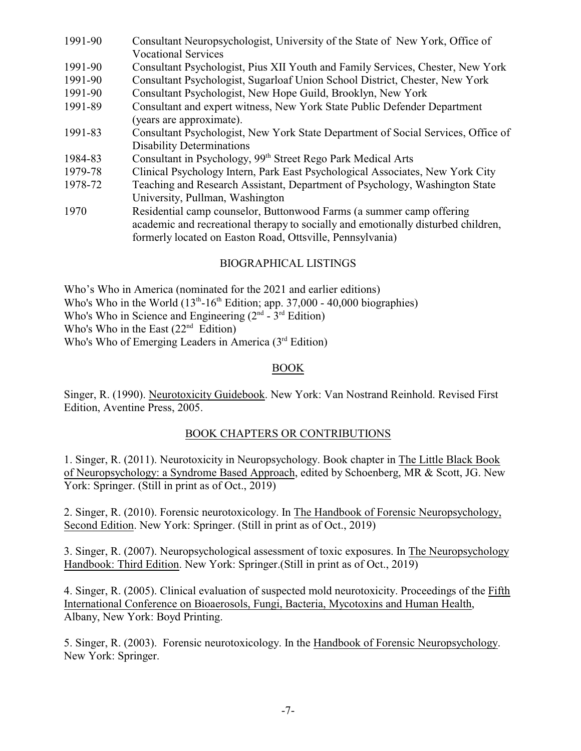| 1991-90 | Consultant Neuropsychologist, University of the State of New York, Office of      |
|---------|-----------------------------------------------------------------------------------|
|         | <b>Vocational Services</b>                                                        |
| 1991-90 | Consultant Psychologist, Pius XII Youth and Family Services, Chester, New York    |
| 1991-90 | Consultant Psychologist, Sugarloaf Union School District, Chester, New York       |
| 1991-90 | Consultant Psychologist, New Hope Guild, Brooklyn, New York                       |
| 1991-89 | Consultant and expert witness, New York State Public Defender Department          |
|         | (years are approximate).                                                          |
| 1991-83 | Consultant Psychologist, New York State Department of Social Services, Office of  |
|         | <b>Disability Determinations</b>                                                  |
| 1984-83 | Consultant in Psychology, 99 <sup>th</sup> Street Rego Park Medical Arts          |
| 1979-78 | Clinical Psychology Intern, Park East Psychological Associates, New York City     |
| 1978-72 | Teaching and Research Assistant, Department of Psychology, Washington State       |
|         | University, Pullman, Washington                                                   |
| 1970    | Residential camp counselor, Buttonwood Farms (a summer camp offering              |
|         | academic and recreational therapy to socially and emotionally disturbed children, |
|         | formerly located on Easton Road, Ottsville, Pennsylvania)                         |

#### BIOGRAPHICAL LISTINGS

Who's Who in America (nominated for the 2021 and earlier editions) Who's Who in the World  $(13<sup>th</sup>-16<sup>th</sup>$  Edition; app. 37,000 - 40,000 biographies) Who's Who in Science and Engineering  $(2<sup>nd</sup> - 3<sup>rd</sup> Edition)$ 

Who's Who in the East  $(22<sup>nd</sup>$  Edition)

Who's Who of Emerging Leaders in America (3rd Edition)

#### BOOK

Singer, R. (1990). Neurotoxicity Guidebook. New York: Van Nostrand Reinhold. Revised First Edition, Aventine Press, 2005.

#### BOOK CHAPTERS OR CONTRIBUTIONS

1. Singer, R. (2011). Neurotoxicity in Neuropsychology. Book chapter in The Little Black Book of Neuropsychology: a Syndrome Based Approach, edited by Schoenberg, MR & Scott, JG. New York: Springer. (Still in print as of Oct., 2019)

2. Singer, R. (2010). Forensic neurotoxicology. In The Handbook of Forensic Neuropsychology, Second Edition. New York: Springer. (Still in print as of Oct., 2019)

3. Singer, R. (2007). Neuropsychological assessment of toxic exposures. In The Neuropsychology Handbook: Third Edition. New York: Springer.(Still in print as of Oct., 2019)

4. Singer, R. (2005). Clinical evaluation of suspected mold neurotoxicity. Proceedings of the Fifth International Conference on Bioaerosols, Fungi, Bacteria, Mycotoxins and Human Health, Albany, New York: Boyd Printing.

5. Singer, R. (2003). Forensic neurotoxicology. In the Handbook of Forensic Neuropsychology. New York: Springer.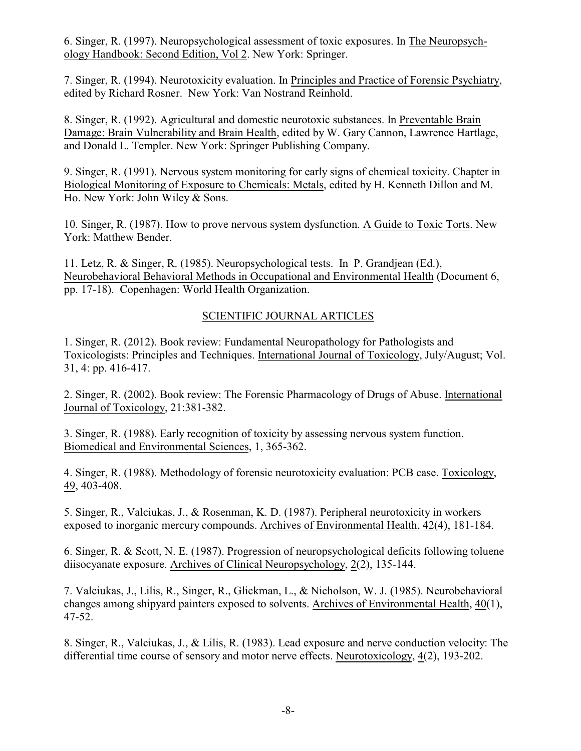6. Singer, R. (1997). Neuropsychological assessment of toxic exposures. In The Neuropsychology Handbook: Second Edition, Vol 2. New York: Springer.

7. Singer, R. (1994). Neurotoxicity evaluation. In Principles and Practice of Forensic Psychiatry, edited by Richard Rosner. New York: Van Nostrand Reinhold.

8. Singer, R. (1992). Agricultural and domestic neurotoxic substances. In Preventable Brain Damage: Brain Vulnerability and Brain Health, edited by W. Gary Cannon, Lawrence Hartlage, and Donald L. Templer. New York: Springer Publishing Company.

9. Singer, R. (1991). Nervous system monitoring for early signs of chemical toxicity. Chapter in Biological Monitoring of Exposure to Chemicals: Metals, edited by H. Kenneth Dillon and M. Ho. New York: John Wiley & Sons.

10. Singer, R. (1987). How to prove nervous system dysfunction. A Guide to Toxic Torts. New York: Matthew Bender.

11. Letz, R. & Singer, R. (1985). Neuropsychological tests. In P. Grandjean (Ed.), Neurobehavioral Behavioral Methods in Occupational and Environmental Health (Document 6, pp. 17-18). Copenhagen: World Health Organization.

# SCIENTIFIC JOURNAL ARTICLES

1. Singer, R. (2012). Book review: Fundamental Neuropathology for Pathologists and Toxicologists: Principles and Techniques. International Journal of Toxicology, July/August; Vol. 31, 4: pp. 416-417.

2. Singer, R. (2002). Book review: The Forensic Pharmacology of Drugs of Abuse. International Journal of Toxicology, 21:381-382.

3. Singer, R. (1988). Early recognition of toxicity by assessing nervous system function. Biomedical and Environmental Sciences, 1, 365-362.

4. Singer, R. (1988). Methodology of forensic neurotoxicity evaluation: PCB case. Toxicology, 49, 403-408.

5. Singer, R., Valciukas, J., & Rosenman, K. D. (1987). Peripheral neurotoxicity in workers exposed to inorganic mercury compounds. Archives of Environmental Health, 42(4), 181-184.

6. Singer, R. & Scott, N. E. (1987). Progression of neuropsychological deficits following toluene diisocyanate exposure. Archives of Clinical Neuropsychology, 2(2), 135-144.

7. Valciukas, J., Lilis, R., Singer, R., Glickman, L., & Nicholson, W. J. (1985). Neurobehavioral changes among shipyard painters exposed to solvents. Archives of Environmental Health, 40(1), 47-52.

8. Singer, R., Valciukas, J., & Lilis, R. (1983). Lead exposure and nerve conduction velocity: The differential time course of sensory and motor nerve effects. Neurotoxicology, 4(2), 193-202.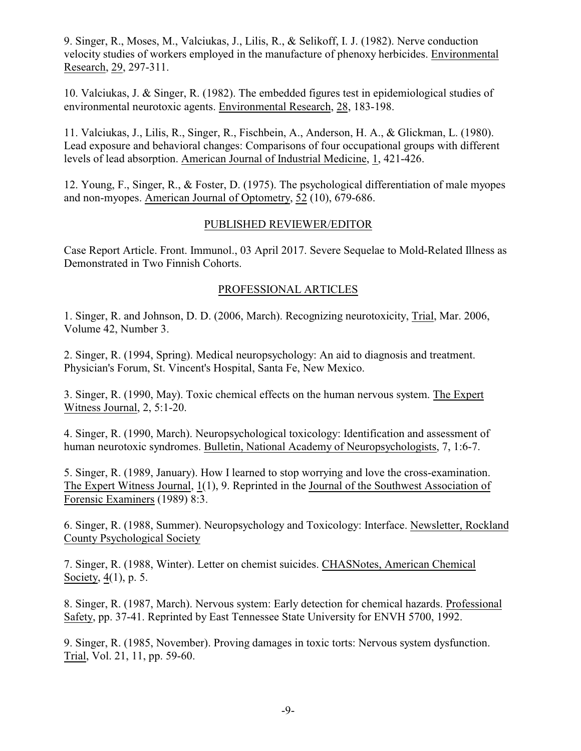9. Singer, R., Moses, M., Valciukas, J., Lilis, R., & Selikoff, I. J. (1982). Nerve conduction velocity studies of workers employed in the manufacture of phenoxy herbicides. Environmental Research, 29, 297-311.

10. Valciukas, J. & Singer, R. (1982). The embedded figures test in epidemiological studies of environmental neurotoxic agents. Environmental Research, 28, 183-198.

11. Valciukas, J., Lilis, R., Singer, R., Fischbein, A., Anderson, H. A., & Glickman, L. (1980). Lead exposure and behavioral changes: Comparisons of four occupational groups with different levels of lead absorption. American Journal of Industrial Medicine, 1, 421-426.

12. Young, F., Singer, R., & Foster, D. (1975). The psychological differentiation of male myopes and non-myopes. American Journal of Optometry, 52 (10), 679-686.

#### PUBLISHED REVIEWER/EDITOR

Case Report Article. Front. Immunol., 03 April 2017. Severe Sequelae to Mold-Related Illness as Demonstrated in Two Finnish Cohorts.

#### PROFESSIONAL ARTICLES

1. Singer, R. and Johnson, D. D. (2006, March). Recognizing neurotoxicity, Trial, Mar. 2006, Volume 42, Number 3.

2. Singer, R. (1994, Spring). Medical neuropsychology: An aid to diagnosis and treatment. Physician's Forum, St. Vincent's Hospital, Santa Fe, New Mexico.

3. Singer, R. (1990, May). Toxic chemical effects on the human nervous system. The Expert Witness Journal, 2, 5:1-20.

4. Singer, R. (1990, March). Neuropsychological toxicology: Identification and assessment of human neurotoxic syndromes. Bulletin, National Academy of Neuropsychologists, 7, 1:6-7.

5. Singer, R. (1989, January). How I learned to stop worrying and love the cross-examination. The Expert Witness Journal, 1(1), 9. Reprinted in the Journal of the Southwest Association of Forensic Examiners (1989) 8:3.

6. Singer, R. (1988, Summer). Neuropsychology and Toxicology: Interface. Newsletter, Rockland County Psychological Society

7. Singer, R. (1988, Winter). Letter on chemist suicides. CHASNotes, American Chemical Society, 4(1), p. 5.

8. Singer, R. (1987, March). Nervous system: Early detection for chemical hazards. Professional Safety, pp. 37-41. Reprinted by East Tennessee State University for ENVH 5700, 1992.

9. Singer, R. (1985, November). Proving damages in toxic torts: Nervous system dysfunction. Trial, Vol. 21, 11, pp. 59-60.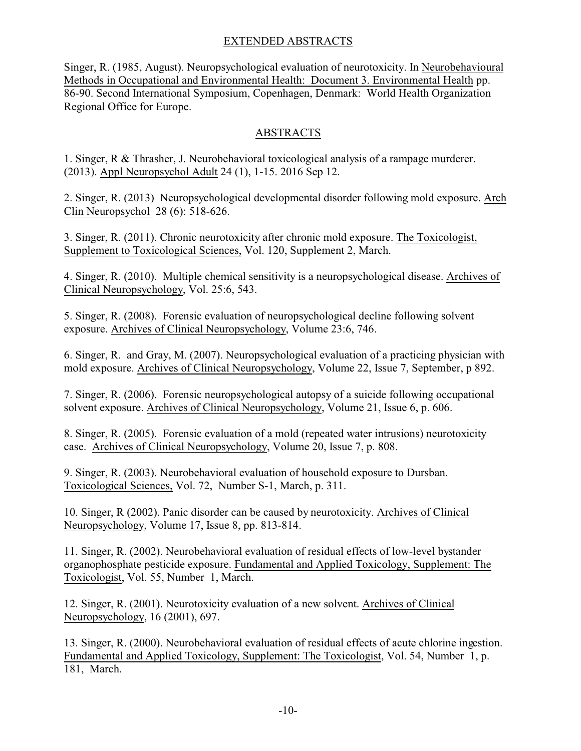# EXTENDED ABSTRACTS

Singer, R. (1985, August). Neuropsychological evaluation of neurotoxicity. In Neurobehavioural Methods in Occupational and Environmental Health: Document 3. Environmental Health pp. 86-90. Second International Symposium, Copenhagen, Denmark: World Health Organization Regional Office for Europe.

# ABSTRACTS

1. Singer, R & Thrasher, J. Neurobehavioral toxicological analysis of a rampage murderer. (2013). Appl Neuropsychol Adult 24 (1), 1-15. 2016 Sep 12.

2. Singer, R. (2013) Neuropsychological developmental disorder following mold exposure. Arch Clin Neuropsychol 28 (6): 518-626.

3. Singer, R. (2011). Chronic neurotoxicity after chronic mold exposure. The Toxicologist, Supplement to Toxicological Sciences, Vol. 120, Supplement 2, March.

4. Singer, R. (2010). Multiple chemical sensitivity is a neuropsychological disease. Archives of Clinical Neuropsychology, Vol. 25:6, 543.

5. Singer, R. (2008). Forensic evaluation of neuropsychological decline following solvent exposure. Archives of Clinical Neuropsychology, Volume 23:6, 746.

6. Singer, R. and Gray, M. (2007). Neuropsychological evaluation of a practicing physician with mold exposure. Archives of Clinical Neuropsychology, Volume 22, Issue 7, September, p 892.

7. Singer, R. (2006). Forensic neuropsychological autopsy of a suicide following occupational solvent exposure. Archives of Clinical Neuropsychology, Volume 21, Issue 6, p. 606.

8. Singer, R. (2005). Forensic evaluation of a mold (repeated water intrusions) neurotoxicity case. Archives of Clinical Neuropsychology, Volume 20, Issue 7, p. 808.

9. Singer, R. (2003). Neurobehavioral evaluation of household exposure to Dursban. Toxicological Sciences, Vol. 72, Number S-1, March, p. 311.

10. Singer, R (2002). Panic disorder can be caused by neurotoxicity. Archives of Clinical Neuropsychology, Volume 17, Issue 8, pp. 813-814.

11. Singer, R. (2002). Neurobehavioral evaluation of residual effects of low-level bystander organophosphate pesticide exposure. Fundamental and Applied Toxicology, Supplement: The Toxicologist, Vol. 55, Number 1, March.

12. Singer, R. (2001). Neurotoxicity evaluation of a new solvent. Archives of Clinical Neuropsychology, 16 (2001), 697.

13. Singer, R. (2000). Neurobehavioral evaluation of residual effects of acute chlorine ingestion. Fundamental and Applied Toxicology, Supplement: The Toxicologist, Vol. 54, Number 1, p. 181, March.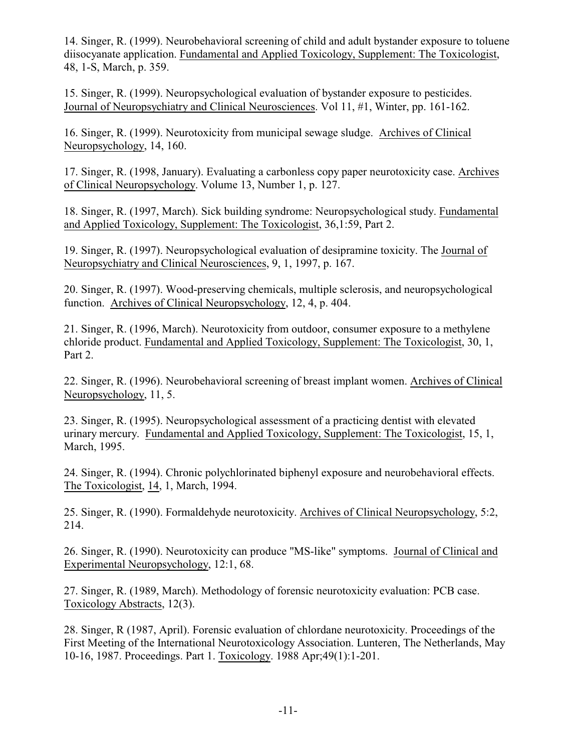14. Singer, R. (1999). Neurobehavioral screening of child and adult bystander exposure to toluene diisocyanate application. Fundamental and Applied Toxicology, Supplement: The Toxicologist, 48, 1-S, March, p. 359.

15. Singer, R. (1999). Neuropsychological evaluation of bystander exposure to pesticides. Journal of Neuropsychiatry and Clinical Neurosciences. Vol 11, #1, Winter, pp. 161-162.

16. Singer, R. (1999). Neurotoxicity from municipal sewage sludge. Archives of Clinical Neuropsychology, 14, 160.

17. Singer, R. (1998, January). Evaluating a carbonless copy paper neurotoxicity case. Archives of Clinical Neuropsychology. Volume 13, Number 1, p. 127.

18. Singer, R. (1997, March). Sick building syndrome: Neuropsychological study. Fundamental and Applied Toxicology, Supplement: The Toxicologist, 36,1:59, Part 2.

19. Singer, R. (1997). Neuropsychological evaluation of desipramine toxicity. The Journal of Neuropsychiatry and Clinical Neurosciences, 9, 1, 1997, p. 167.

20. Singer, R. (1997). Wood-preserving chemicals, multiple sclerosis, and neuropsychological function. Archives of Clinical Neuropsychology, 12, 4, p. 404.

21. Singer, R. (1996, March). Neurotoxicity from outdoor, consumer exposure to a methylene chloride product. Fundamental and Applied Toxicology, Supplement: The Toxicologist, 30, 1, Part 2.

22. Singer, R. (1996). Neurobehavioral screening of breast implant women. Archives of Clinical Neuropsychology, 11, 5.

23. Singer, R. (1995). Neuropsychological assessment of a practicing dentist with elevated urinary mercury. Fundamental and Applied Toxicology, Supplement: The Toxicologist, 15, 1, March, 1995.

24. Singer, R. (1994). Chronic polychlorinated biphenyl exposure and neurobehavioral effects. The Toxicologist, 14, 1, March, 1994.

25. Singer, R. (1990). Formaldehyde neurotoxicity. Archives of Clinical Neuropsychology, 5:2, 214.

26. Singer, R. (1990). Neurotoxicity can produce "MS-like" symptoms. Journal of Clinical and Experimental Neuropsychology, 12:1, 68.

27. Singer, R. (1989, March). Methodology of forensic neurotoxicity evaluation: PCB case. Toxicology Abstracts, 12(3).

28. Singer, R (1987, April). Forensic evaluation of chlordane neurotoxicity. Proceedings of the First Meeting of the International Neurotoxicology Association. Lunteren, The Netherlands, May 10-16, 1987. Proceedings. Part 1. Toxicology. 1988 Apr;49(1):1-201.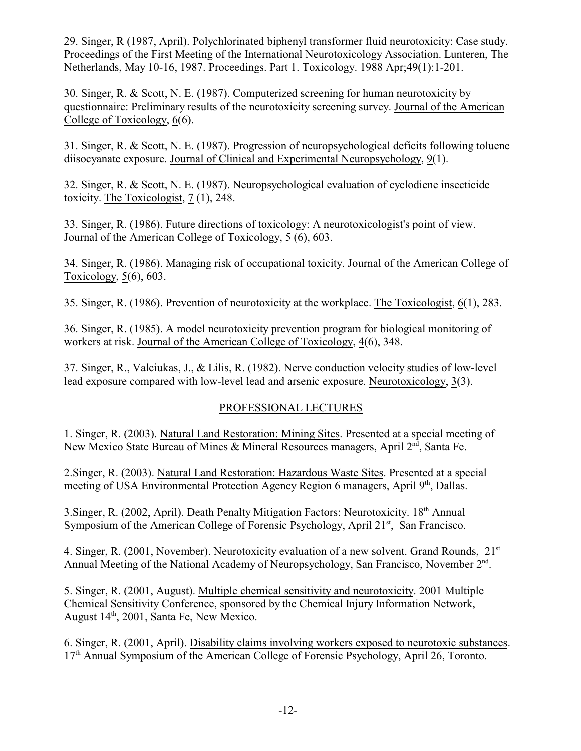29. Singer, R (1987, April). Polychlorinated biphenyl transformer fluid neurotoxicity: Case study. Proceedings of the First Meeting of the International Neurotoxicology Association. Lunteren, The Netherlands, May 10-16, 1987. Proceedings. Part 1. Toxicology. 1988 Apr;49(1):1-201.

30. Singer, R. & Scott, N. E. (1987). Computerized screening for human neurotoxicity by questionnaire: Preliminary results of the neurotoxicity screening survey. Journal of the American College of Toxicology, 6(6).

31. Singer, R. & Scott, N. E. (1987). Progression of neuropsychological deficits following toluene diisocyanate exposure. Journal of Clinical and Experimental Neuropsychology, 9(1).

32. Singer, R. & Scott, N. E. (1987). Neuropsychological evaluation of cyclodiene insecticide toxicity. The Toxicologist, 7 (1), 248.

33. Singer, R. (1986). Future directions of toxicology: A neurotoxicologist's point of view. Journal of the American College of Toxicology, 5 (6), 603.

34. Singer, R. (1986). Managing risk of occupational toxicity. Journal of the American College of Toxicology, 5(6), 603.

35. Singer, R. (1986). Prevention of neurotoxicity at the workplace. The Toxicologist, 6(1), 283.

36. Singer, R. (1985). A model neurotoxicity prevention program for biological monitoring of workers at risk. Journal of the American College of Toxicology, 4(6), 348.

37. Singer, R., Valciukas, J., & Lilis, R. (1982). Nerve conduction velocity studies of low-level lead exposure compared with low-level lead and arsenic exposure. Neurotoxicology, 3(3).

# PROFESSIONAL LECTURES

1. Singer, R. (2003). Natural Land Restoration: Mining Sites. Presented at a special meeting of New Mexico State Bureau of Mines & Mineral Resources managers, April 2<sup>nd</sup>, Santa Fe.

2.Singer, R. (2003). Natural Land Restoration: Hazardous Waste Sites. Presented at a special meeting of USA Environmental Protection Agency Region 6 managers, April 9<sup>th</sup>, Dallas.

3. Singer, R. (2002, April). Death Penalty Mitigation Factors: Neurotoxicity. 18<sup>th</sup> Annual Symposium of the American College of Forensic Psychology, April 21<sup>st</sup>, San Francisco.

4. Singer, R. (2001, November). Neurotoxicity evaluation of a new solvent. Grand Rounds, 21<sup>st</sup> Annual Meeting of the National Academy of Neuropsychology, San Francisco, November 2<sup>nd</sup>.

5. Singer, R. (2001, August). Multiple chemical sensitivity and neurotoxicity. 2001 Multiple Chemical Sensitivity Conference, sponsored by the Chemical Injury Information Network, August 14<sup>th</sup>, 2001, Santa Fe, New Mexico.

6. Singer, R. (2001, April). Disability claims involving workers exposed to neurotoxic substances. 17<sup>th</sup> Annual Symposium of the American College of Forensic Psychology, April 26, Toronto.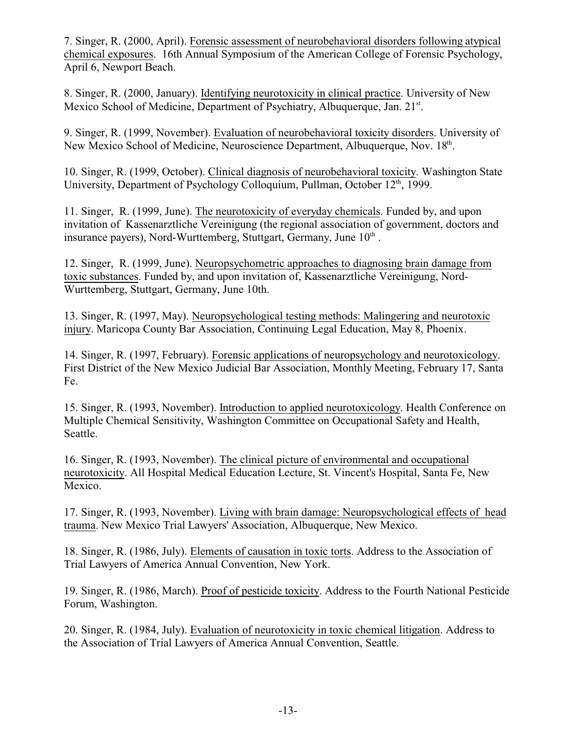7. Singer, R. (2000, April). Forensic assessment of neurobehavioral disorders following atypical chemical exposures. 16th Annual Symposium of the American College of Forensic Psychology, April 6, Newport Beach.

8. Singer, R. (2000, January). Identifying neurotoxicity in clinical practice. University of New Mexico School of Medicine, Department of Psychiatry, Albuquerque, Jan. 21st.

9. Singer, R. (1999, November). Evaluation of neurobehavioral toxicity disorders. University of New Mexico School of Medicine, Neuroscience Department, Albuquerque, Nov. 18th.

10. Singer, R. (1999, October). Clinical diagnosis of neurobehavioral toxicity. Washington State University, Department of Psychology Colloquium, Pullman, October 12<sup>th</sup>, 1999.

11. Singer, R. (1999, June). The neurotoxicity of everyday chemicals. Funded by, and upon invitation of Kassenarztliche Vereinigung (the regional association of government, doctors and insurance payers), Nord-Wurttemberg, Stuttgart, Germany, June 10th.

12. Singer, R. (1999, June). Neuropsychometric approaches to diagnosing brain damage from toxic substances. Funded by, and upon invitation of, Kassenarztliche Vereinigung, Nord-Wurttemberg, Stuttgart, Germany, June 10th.

13. Singer, R. (1997, May). Neuropsychological testing methods: Malingering and neurotoxic injury. Maricopa County Bar Association, Continuing Legal Education, May 8, Phoenix.

14. Singer, R. (1997, February). Forensic applications of neuropsychology and neurotoxicology. First District of the New Mexico Judicial Bar Association, Monthly Meeting, February 17, Santa Fe.

15. Singer, R. (1993, November). Introduction to applied neurotoxicology. Health Conference on Multiple Chemical Sensitivity, Washington Committee on Occupational Safety and Health, Seattle.

16. Singer, R. (1993, November). The clinical picture of environmental and occupational neurotoxicity. All Hospital Medical Education Lecture, St. Vincent's Hospital, Santa Fe, New Mexico.

17. Singer, R. (1993, November). Living with brain damage: Neuropsychological effects of head trauma. New Mexico Trial Lawyers' Association, Albuquerque, New Mexico.

18. Singer, R. (1986, July). Elements of causation in toxic torts. Address to the Association of Trial Lawyers of America Annual Convention, New York.

19. Singer, R. (1986, March). Proof of pesticide toxicity. Address to the Fourth National Pesticide Forum, Washington.

20. Singer, R. (1984, July). Evaluation of neurotoxicity in toxic chemical litigation. Address to the Association of Trial Lawyers of America Annual Convention, Seattle.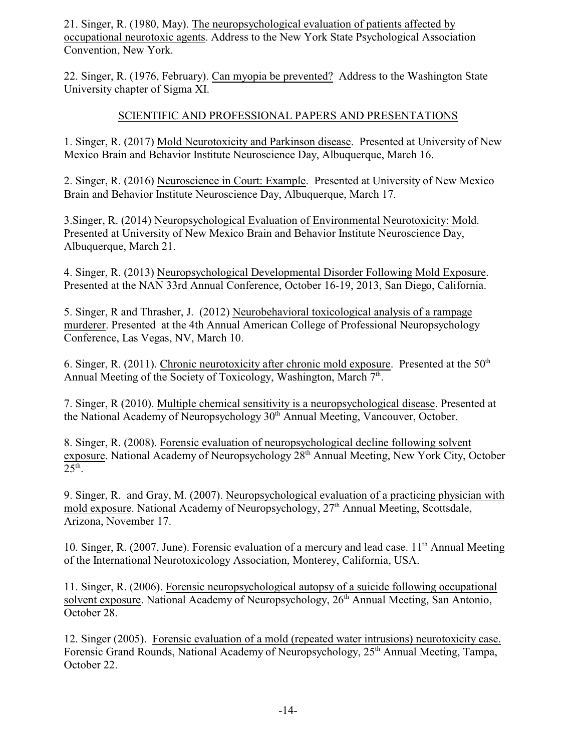21. Singer, R. (1980, May). The neuropsychological evaluation of patients affected by occupational neurotoxic agents. Address to the New York State Psychological Association Convention, New York.

22. Singer, R. (1976, February). Can myopia be prevented? Address to the Washington State University chapter of Sigma XI.

### SCIENTIFIC AND PROFESSIONAL PAPERS AND PRESENTATIONS

1. Singer, R. (2017) Mold Neurotoxicity and Parkinson disease. Presented at University of New Mexico Brain and Behavior Institute Neuroscience Day, Albuquerque, March 16.

2. Singer, R. (2016) Neuroscience in Court: Example. Presented at University of New Mexico Brain and Behavior Institute Neuroscience Day, Albuquerque, March 17.

3.Singer, R. (2014) Neuropsychological Evaluation of Environmental Neurotoxicity: Mold. Presented at University of New Mexico Brain and Behavior Institute Neuroscience Day, Albuquerque, March 21.

4. Singer, R. (2013) Neuropsychological Developmental Disorder Following Mold Exposure. Presented at the NAN 33rd Annual Conference, October 16-19, 2013, San Diego, California.

5. Singer, R and Thrasher, J. (2012) Neurobehavioral toxicological analysis of a rampage murderer. Presented at the 4th Annual American College of Professional Neuropsychology Conference, Las Vegas, NV, March 10.

6. Singer, R. (2011). Chronic neurotoxicity after chronic mold exposure. Presented at the  $50<sup>th</sup>$ Annual Meeting of the Society of Toxicology, Washington, March 7<sup>th</sup>.

7. Singer, R (2010). Multiple chemical sensitivity is a neuropsychological disease. Presented at the National Academy of Neuropsychology 30<sup>th</sup> Annual Meeting, Vancouver, October.

8. Singer, R. (2008). Forensic evaluation of neuropsychological decline following solvent exposure. National Academy of Neuropsychology 28<sup>th</sup> Annual Meeting, New York City, October  $25<sup>th</sup>$ .

9. Singer, R. and Gray, M. (2007). Neuropsychological evaluation of a practicing physician with mold exposure. National Academy of Neuropsychology, 27<sup>th</sup> Annual Meeting, Scottsdale, Arizona, November 17.

10. Singer, R. (2007, June). Forensic evaluation of a mercury and lead case. 11<sup>th</sup> Annual Meeting of the International Neurotoxicology Association, Monterey, California, USA.

11. Singer, R. (2006). Forensic neuropsychological autopsy of a suicide following occupational solvent exposure. National Academy of Neuropsychology, 26<sup>th</sup> Annual Meeting, San Antonio, October 28.

12. Singer (2005). Forensic evaluation of a mold (repeated water intrusions) neurotoxicity case. Forensic Grand Rounds, National Academy of Neuropsychology, 25<sup>th</sup> Annual Meeting, Tampa, October 22.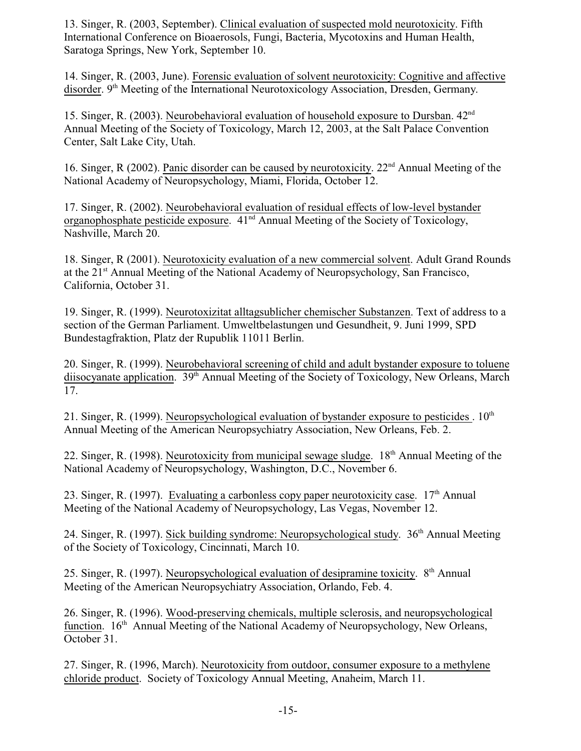13. Singer, R. (2003, September). Clinical evaluation of suspected mold neurotoxicity. Fifth International Conference on Bioaerosols, Fungi, Bacteria, Mycotoxins and Human Health, Saratoga Springs, New York, September 10.

14. Singer, R. (2003, June). Forensic evaluation of solvent neurotoxicity: Cognitive and affective disorder. 9<sup>th</sup> Meeting of the International Neurotoxicology Association, Dresden, Germany.

15. Singer, R. (2003). Neurobehavioral evaluation of household exposure to Dursban. 42nd Annual Meeting of the Society of Toxicology, March 12, 2003, at the Salt Palace Convention Center, Salt Lake City, Utah.

16. Singer, R (2002). Panic disorder can be caused by neurotoxicity. 22<sup>nd</sup> Annual Meeting of the National Academy of Neuropsychology, Miami, Florida, October 12.

17. Singer, R. (2002). Neurobehavioral evaluation of residual effects of low-level bystander organophosphate pesticide exposure. 41<sup>nd</sup> Annual Meeting of the Society of Toxicology, Nashville, March 20.

18. Singer, R (2001). Neurotoxicity evaluation of a new commercial solvent. Adult Grand Rounds at the 21<sup>st</sup> Annual Meeting of the National Academy of Neuropsychology, San Francisco, California, October 31.

19. Singer, R. (1999). Neurotoxizitat alltagsublicher chemischer Substanzen. Text of address to a section of the German Parliament. Umweltbelastungen und Gesundheit, 9. Juni 1999, SPD Bundestagfraktion, Platz der Rupublik 11011 Berlin.

20. Singer, R. (1999). Neurobehavioral screening of child and adult bystander exposure to toluene diisocyanate application. 39<sup>th</sup> Annual Meeting of the Society of Toxicology, New Orleans, March 17.

21. Singer, R. (1999). Neuropsychological evaluation of bystander exposure to pesticides .  $10<sup>th</sup>$ Annual Meeting of the American Neuropsychiatry Association, New Orleans, Feb. 2.

22. Singer, R. (1998). Neurotoxicity from municipal sewage sludge. 18<sup>th</sup> Annual Meeting of the National Academy of Neuropsychology, Washington, D.C., November 6.

23. Singer, R. (1997). Evaluating a carbonless copy paper neurotoxicity case. 17<sup>th</sup> Annual Meeting of the National Academy of Neuropsychology, Las Vegas, November 12.

24. Singer, R. (1997). Sick building syndrome: Neuropsychological study. 36<sup>th</sup> Annual Meeting of the Society of Toxicology, Cincinnati, March 10.

25. Singer, R. (1997). Neuropsychological evaluation of desipramine toxicity. 8<sup>th</sup> Annual Meeting of the American Neuropsychiatry Association, Orlando, Feb. 4.

26. Singer, R. (1996). Wood-preserving chemicals, multiple sclerosis, and neuropsychological function. 16<sup>th</sup> Annual Meeting of the National Academy of Neuropsychology, New Orleans, October 31.

27. Singer, R. (1996, March). Neurotoxicity from outdoor, consumer exposure to a methylene chloride product. Society of Toxicology Annual Meeting, Anaheim, March 11.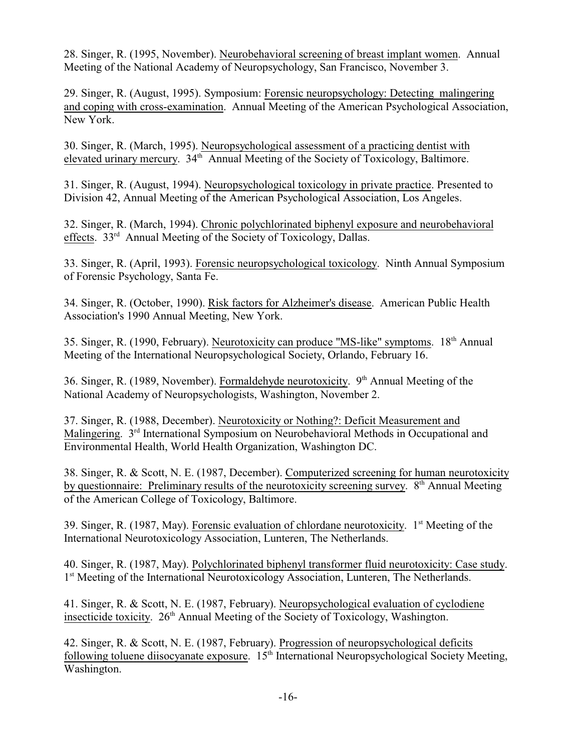28. Singer, R. (1995, November). Neurobehavioral screening of breast implant women. Annual Meeting of the National Academy of Neuropsychology, San Francisco, November 3.

29. Singer, R. (August, 1995). Symposium: Forensic neuropsychology: Detecting malingering and coping with cross-examination. Annual Meeting of the American Psychological Association, New York.

30. Singer, R. (March, 1995). Neuropsychological assessment of a practicing dentist with elevated urinary mercury. 34<sup>th</sup> Annual Meeting of the Society of Toxicology, Baltimore.

31. Singer, R. (August, 1994). Neuropsychological toxicology in private practice. Presented to Division 42, Annual Meeting of the American Psychological Association, Los Angeles.

32. Singer, R. (March, 1994). Chronic polychlorinated biphenyl exposure and neurobehavioral effects. 33<sup>rd</sup> Annual Meeting of the Society of Toxicology, Dallas.

33. Singer, R. (April, 1993). Forensic neuropsychological toxicology. Ninth Annual Symposium of Forensic Psychology, Santa Fe.

34. Singer, R. (October, 1990). Risk factors for Alzheimer's disease. American Public Health Association's 1990 Annual Meeting, New York.

35. Singer, R. (1990, February). Neurotoxicity can produce "MS-like" symptoms. 18<sup>th</sup> Annual Meeting of the International Neuropsychological Society, Orlando, February 16.

36. Singer, R. (1989, November). Formaldehyde neurotoxicity.  $9<sup>th</sup>$  Annual Meeting of the National Academy of Neuropsychologists, Washington, November 2.

37. Singer, R. (1988, December). Neurotoxicity or Nothing?: Deficit Measurement and Malingering. 3<sup>rd</sup> International Symposium on Neurobehavioral Methods in Occupational and Environmental Health, World Health Organization, Washington DC.

38. Singer, R. & Scott, N. E. (1987, December). Computerized screening for human neurotoxicity by questionnaire: Preliminary results of the neurotoxicity screening survey. 8<sup>th</sup> Annual Meeting of the American College of Toxicology, Baltimore.

39. Singer, R. (1987, May). Forensic evaluation of chlordane neurotoxicity. 1<sup>st</sup> Meeting of the International Neurotoxicology Association, Lunteren, The Netherlands.

40. Singer, R. (1987, May). Polychlorinated biphenyl transformer fluid neurotoxicity: Case study. 1<sup>st</sup> Meeting of the International Neurotoxicology Association, Lunteren, The Netherlands.

41. Singer, R. & Scott, N. E. (1987, February). Neuropsychological evaluation of cyclodiene insecticide toxicity.  $26<sup>th</sup>$  Annual Meeting of the Society of Toxicology, Washington.

42. Singer, R. & Scott, N. E. (1987, February). Progression of neuropsychological deficits following toluene diisocyanate exposure. 15<sup>th</sup> International Neuropsychological Society Meeting, Washington.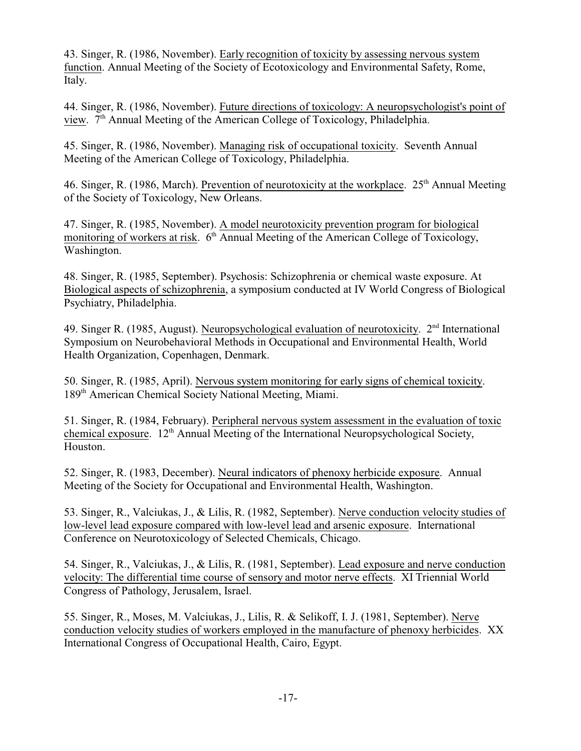43. Singer, R. (1986, November). Early recognition of toxicity by assessing nervous system function. Annual Meeting of the Society of Ecotoxicology and Environmental Safety, Rome, Italy.

44. Singer, R. (1986, November). Future directions of toxicology: A neuropsychologist's point of view. 7<sup>th</sup> Annual Meeting of the American College of Toxicology, Philadelphia.

45. Singer, R. (1986, November). Managing risk of occupational toxicity. Seventh Annual Meeting of the American College of Toxicology, Philadelphia.

46. Singer, R. (1986, March). Prevention of neurotoxicity at the workplace. 25<sup>th</sup> Annual Meeting of the Society of Toxicology, New Orleans.

47. Singer, R. (1985, November). A model neurotoxicity prevention program for biological monitoring of workers at risk. 6<sup>th</sup> Annual Meeting of the American College of Toxicology, Washington.

48. Singer, R. (1985, September). Psychosis: Schizophrenia or chemical waste exposure. At Biological aspects of schizophrenia, a symposium conducted at IV World Congress of Biological Psychiatry, Philadelphia.

49. Singer R. (1985, August). Neuropsychological evaluation of neurotoxicity. 2<sup>nd</sup> International Symposium on Neurobehavioral Methods in Occupational and Environmental Health, World Health Organization, Copenhagen, Denmark.

50. Singer, R. (1985, April). Nervous system monitoring for early signs of chemical toxicity. 189<sup>th</sup> American Chemical Society National Meeting, Miami.

51. Singer, R. (1984, February). Peripheral nervous system assessment in the evaluation of toxic chemical exposure. 12<sup>th</sup> Annual Meeting of the International Neuropsychological Society, Houston.

52. Singer, R. (1983, December). Neural indicators of phenoxy herbicide exposure. Annual Meeting of the Society for Occupational and Environmental Health, Washington.

53. Singer, R., Valciukas, J., & Lilis, R. (1982, September). Nerve conduction velocity studies of low-level lead exposure compared with low-level lead and arsenic exposure. International Conference on Neurotoxicology of Selected Chemicals, Chicago.

54. Singer, R., Valciukas, J., & Lilis, R. (1981, September). Lead exposure and nerve conduction velocity: The differential time course of sensory and motor nerve effects. XI Triennial World Congress of Pathology, Jerusalem, Israel.

55. Singer, R., Moses, M. Valciukas, J., Lilis, R. & Selikoff, I. J. (1981, September). Nerve conduction velocity studies of workers employed in the manufacture of phenoxy herbicides. XX International Congress of Occupational Health, Cairo, Egypt.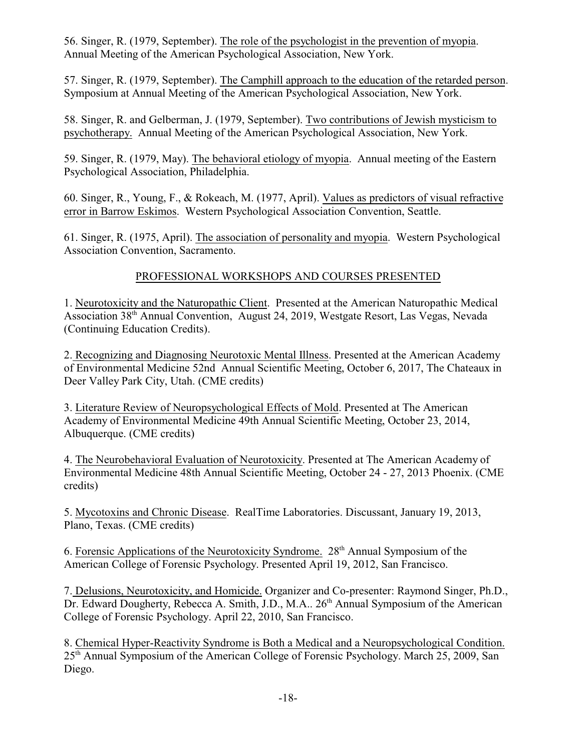56. Singer, R. (1979, September). The role of the psychologist in the prevention of myopia. Annual Meeting of the American Psychological Association, New York.

57. Singer, R. (1979, September). The Camphill approach to the education of the retarded person. Symposium at Annual Meeting of the American Psychological Association, New York.

58. Singer, R. and Gelberman, J. (1979, September). Two contributions of Jewish mysticism to psychotherapy. Annual Meeting of the American Psychological Association, New York.

59. Singer, R. (1979, May). The behavioral etiology of myopia. Annual meeting of the Eastern Psychological Association, Philadelphia.

60. Singer, R., Young, F., & Rokeach, M. (1977, April). Values as predictors of visual refractive error in Barrow Eskimos. Western Psychological Association Convention, Seattle.

61. Singer, R. (1975, April). The association of personality and myopia. Western Psychological Association Convention, Sacramento.

# PROFESSIONAL WORKSHOPS AND COURSES PRESENTED

1. Neurotoxicity and the Naturopathic Client. Presented at the American Naturopathic Medical Association 38th Annual Convention, August 24, 2019, Westgate Resort, Las Vegas, Nevada (Continuing Education Credits).

2. Recognizing and Diagnosing Neurotoxic Mental Illness. Presented at the American Academy of Environmental Medicine 52nd Annual Scientific Meeting, October 6, 2017, The Chateaux in Deer Valley Park City, Utah. (CME credits)

3. Literature Review of Neuropsychological Effects of Mold. Presented at The American Academy of Environmental Medicine 49th Annual Scientific Meeting, October 23, 2014, Albuquerque. (CME credits)

4. The Neurobehavioral Evaluation of Neurotoxicity. Presented at The American Academy of Environmental Medicine 48th Annual Scientific Meeting, October 24 - 27, 2013 Phoenix. (CME credits)

5. Mycotoxins and Chronic Disease. RealTime Laboratories. Discussant, January 19, 2013, Plano, Texas. (CME credits)

6. Forensic Applications of the Neurotoxicity Syndrome. 28th Annual Symposium of the American College of Forensic Psychology. Presented April 19, 2012, San Francisco.

7. Delusions, Neurotoxicity, and Homicide. Organizer and Co-presenter: Raymond Singer, Ph.D., Dr. Edward Dougherty, Rebecca A. Smith, J.D., M.A.. 26<sup>th</sup> Annual Symposium of the American College of Forensic Psychology. April 22, 2010, San Francisco.

8. Chemical Hyper-Reactivity Syndrome is Both a Medical and a Neuropsychological Condition. 25th Annual Symposium of the American College of Forensic Psychology. March 25, 2009, San Diego.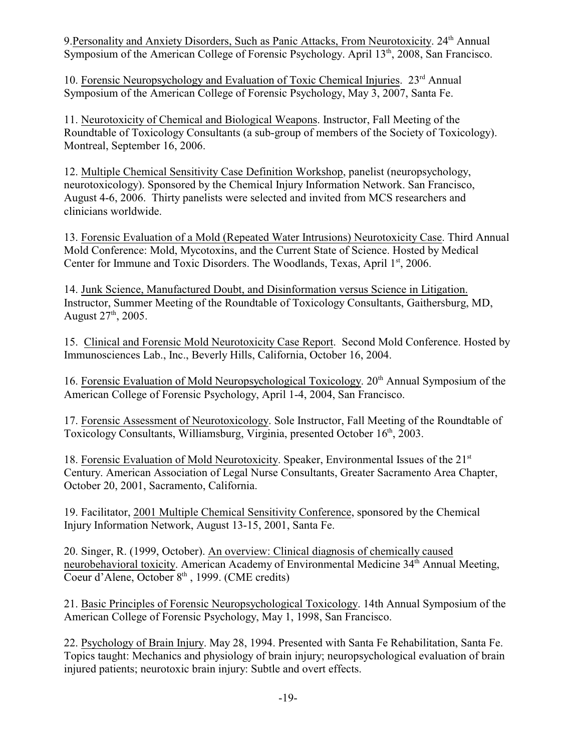9. Personality and Anxiety Disorders, Such as Panic Attacks, From Neurotoxicity. 24<sup>th</sup> Annual Symposium of the American College of Forensic Psychology. April 13<sup>th</sup>, 2008, San Francisco.

10. Forensic Neuropsychology and Evaluation of Toxic Chemical Injuries. 23<sup>rd</sup> Annual Symposium of the American College of Forensic Psychology, May 3, 2007, Santa Fe.

11. Neurotoxicity of Chemical and Biological Weapons. Instructor, Fall Meeting of the Roundtable of Toxicology Consultants (a sub-group of members of the Society of Toxicology). Montreal, September 16, 2006.

12. Multiple Chemical Sensitivity Case Definition Workshop, panelist (neuropsychology, neurotoxicology). Sponsored by the Chemical Injury Information Network. San Francisco, August 4-6, 2006. Thirty panelists were selected and invited from MCS researchers and clinicians worldwide.

13. Forensic Evaluation of a Mold (Repeated Water Intrusions) Neurotoxicity Case. Third Annual Mold Conference: Mold, Mycotoxins, and the Current State of Science. Hosted by Medical Center for Immune and Toxic Disorders. The Woodlands, Texas, April 1st, 2006.

14. Junk Science, Manufactured Doubt, and Disinformation versus Science in Litigation. Instructor, Summer Meeting of the Roundtable of Toxicology Consultants, Gaithersburg, MD, August  $27<sup>th</sup>$ , 2005.

15. Clinical and Forensic Mold Neurotoxicity Case Report. Second Mold Conference. Hosted by Immunosciences Lab., Inc., Beverly Hills, California, October 16, 2004.

16. Forensic Evaluation of Mold Neuropsychological Toxicology. 20<sup>th</sup> Annual Symposium of the American College of Forensic Psychology, April 1-4, 2004, San Francisco.

17. Forensic Assessment of Neurotoxicology. Sole Instructor, Fall Meeting of the Roundtable of Toxicology Consultants, Williamsburg, Virginia, presented October 16th, 2003.

18. Forensic Evaluation of Mold Neurotoxicity. Speaker, Environmental Issues of the 21<sup>st</sup> Century. American Association of Legal Nurse Consultants, Greater Sacramento Area Chapter, October 20, 2001, Sacramento, California.

19. Facilitator, 2001 Multiple Chemical Sensitivity Conference, sponsored by the Chemical Injury Information Network, August 13-15, 2001, Santa Fe.

20. Singer, R. (1999, October). An overview: Clinical diagnosis of chemically caused neurobehavioral toxicity. American Academy of Environmental Medicine 34<sup>th</sup> Annual Meeting, Coeur d'Alene, October 8<sup>th</sup>, 1999. (CME credits)

21. Basic Principles of Forensic Neuropsychological Toxicology. 14th Annual Symposium of the American College of Forensic Psychology, May 1, 1998, San Francisco.

22. Psychology of Brain Injury. May 28, 1994. Presented with Santa Fe Rehabilitation, Santa Fe. Topics taught: Mechanics and physiology of brain injury; neuropsychological evaluation of brain injured patients; neurotoxic brain injury: Subtle and overt effects.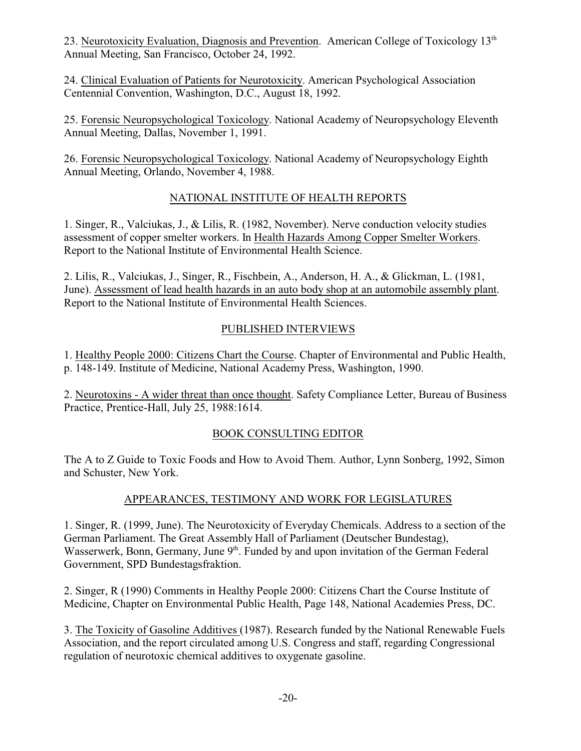23. Neurotoxicity Evaluation, Diagnosis and Prevention. American College of Toxicology 13<sup>th</sup> Annual Meeting, San Francisco, October 24, 1992.

24. Clinical Evaluation of Patients for Neurotoxicity. American Psychological Association Centennial Convention, Washington, D.C., August 18, 1992.

25. Forensic Neuropsychological Toxicology. National Academy of Neuropsychology Eleventh Annual Meeting, Dallas, November 1, 1991.

26. Forensic Neuropsychological Toxicology. National Academy of Neuropsychology Eighth Annual Meeting, Orlando, November 4, 1988.

# NATIONAL INSTITUTE OF HEALTH REPORTS

1. Singer, R., Valciukas, J., & Lilis, R. (1982, November). Nerve conduction velocity studies assessment of copper smelter workers. In Health Hazards Among Copper Smelter Workers. Report to the National Institute of Environmental Health Science.

2. Lilis, R., Valciukas, J., Singer, R., Fischbein, A., Anderson, H. A., & Glickman, L. (1981, June). Assessment of lead health hazards in an auto body shop at an automobile assembly plant. Report to the National Institute of Environmental Health Sciences.

# PUBLISHED INTERVIEWS

1. Healthy People 2000: Citizens Chart the Course. Chapter of Environmental and Public Health, p. 148-149. Institute of Medicine, National Academy Press, Washington, 1990.

2. Neurotoxins - A wider threat than once thought. Safety Compliance Letter, Bureau of Business Practice, Prentice-Hall, July 25, 1988:1614.

# BOOK CONSULTING EDITOR

The A to Z Guide to Toxic Foods and How to Avoid Them. Author, Lynn Sonberg, 1992, Simon and Schuster, New York.

# APPEARANCES, TESTIMONY AND WORK FOR LEGISLATURES

1. Singer, R. (1999, June). The Neurotoxicity of Everyday Chemicals. Address to a section of the German Parliament. The Great Assembly Hall of Parliament (Deutscher Bundestag), Wasserwerk, Bonn, Germany, June 9<sup>th</sup>. Funded by and upon invitation of the German Federal Government, SPD Bundestagsfraktion.

2. Singer, R (1990) Comments in Healthy People 2000: Citizens Chart the Course Institute of Medicine, Chapter on Environmental Public Health, Page 148, National Academies Press, DC.

3. The Toxicity of Gasoline Additives (1987). Research funded by the National Renewable Fuels Association, and the report circulated among U.S. Congress and staff, regarding Congressional regulation of neurotoxic chemical additives to oxygenate gasoline.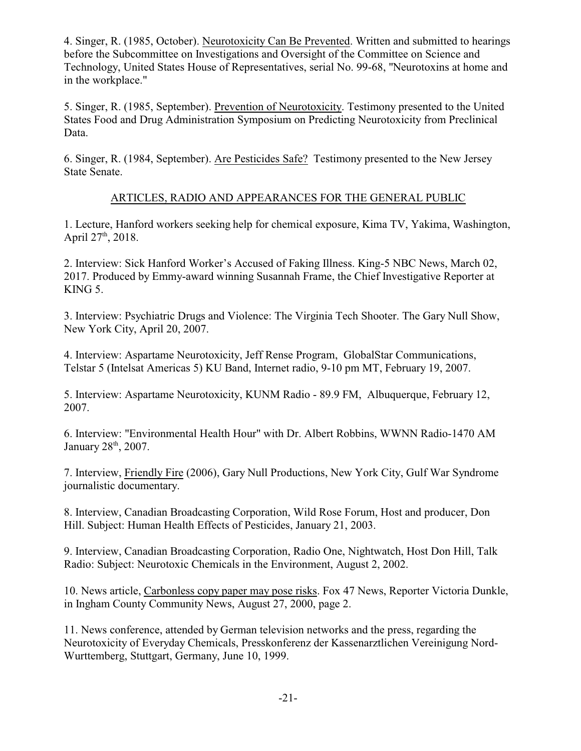4. Singer, R. (1985, October). Neurotoxicity Can Be Prevented. Written and submitted to hearings before the Subcommittee on Investigations and Oversight of the Committee on Science and Technology, United States House of Representatives, serial No. 99-68, "Neurotoxins at home and in the workplace."

5. Singer, R. (1985, September). Prevention of Neurotoxicity. Testimony presented to the United States Food and Drug Administration Symposium on Predicting Neurotoxicity from Preclinical Data.

6. Singer, R. (1984, September). Are Pesticides Safe? Testimony presented to the New Jersey State Senate.

# ARTICLES, RADIO AND APPEARANCES FOR THE GENERAL PUBLIC

1. Lecture, Hanford workers seeking help for chemical exposure, Kima TV, Yakima, Washington, April 27<sup>th</sup>, 2018.

2. Interview: Sick Hanford Worker's Accused of Faking Illness. King-5 NBC News, March 02, 2017. Produced by Emmy-award winning Susannah Frame, the Chief Investigative Reporter at KING 5.

3. Interview: Psychiatric Drugs and Violence: The Virginia Tech Shooter. The Gary Null Show, New York City, April 20, 2007.

4. Interview: Aspartame Neurotoxicity, Jeff Rense Program, GlobalStar Communications, Telstar 5 (Intelsat Americas 5) KU Band, Internet radio, 9-10 pm MT, February 19, 2007.

5. Interview: Aspartame Neurotoxicity, KUNM Radio - 89.9 FM, Albuquerque, February 12, 2007.

6. Interview: "Environmental Health Hour" with Dr. Albert Robbins, WWNN Radio-1470 AM January  $28<sup>th</sup>$ ,  $2007$ .

7. Interview, Friendly Fire (2006), Gary Null Productions, New York City, Gulf War Syndrome journalistic documentary.

8. Interview, Canadian Broadcasting Corporation, Wild Rose Forum, Host and producer, Don Hill. Subject: Human Health Effects of Pesticides, January 21, 2003.

9. Interview, Canadian Broadcasting Corporation, Radio One, Nightwatch, Host Don Hill, Talk Radio: Subject: Neurotoxic Chemicals in the Environment, August 2, 2002.

10. News article, Carbonless copy paper may pose risks. Fox 47 News, Reporter Victoria Dunkle, in Ingham County Community News, August 27, 2000, page 2.

11. News conference, attended by German television networks and the press, regarding the Neurotoxicity of Everyday Chemicals, Presskonferenz der Kassenarztlichen Vereinigung Nord-Wurttemberg, Stuttgart, Germany, June 10, 1999.